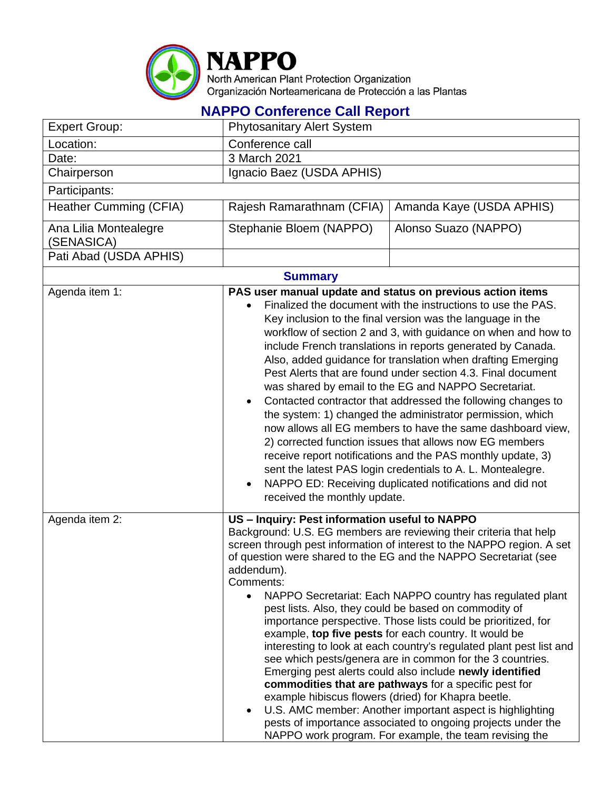

**NAPPO Conference Call Report**

| <b>Expert Group:</b>                | <b>Phytosanitary Alert System</b>                                                                                                                                                                                                                                                                                                                                                                                                                                                                                                                                                                                                                                                                                                                                                                                                                                                                                                                                                                             |                                                                                                                                                                                                                                                                                                                                                                                                                                                                                                                                                                                                                                                                                                                                                                                                                                                                                                                  |  |  |
|-------------------------------------|---------------------------------------------------------------------------------------------------------------------------------------------------------------------------------------------------------------------------------------------------------------------------------------------------------------------------------------------------------------------------------------------------------------------------------------------------------------------------------------------------------------------------------------------------------------------------------------------------------------------------------------------------------------------------------------------------------------------------------------------------------------------------------------------------------------------------------------------------------------------------------------------------------------------------------------------------------------------------------------------------------------|------------------------------------------------------------------------------------------------------------------------------------------------------------------------------------------------------------------------------------------------------------------------------------------------------------------------------------------------------------------------------------------------------------------------------------------------------------------------------------------------------------------------------------------------------------------------------------------------------------------------------------------------------------------------------------------------------------------------------------------------------------------------------------------------------------------------------------------------------------------------------------------------------------------|--|--|
| Location:                           | Conference call                                                                                                                                                                                                                                                                                                                                                                                                                                                                                                                                                                                                                                                                                                                                                                                                                                                                                                                                                                                               |                                                                                                                                                                                                                                                                                                                                                                                                                                                                                                                                                                                                                                                                                                                                                                                                                                                                                                                  |  |  |
| Date:                               | 3 March 2021                                                                                                                                                                                                                                                                                                                                                                                                                                                                                                                                                                                                                                                                                                                                                                                                                                                                                                                                                                                                  |                                                                                                                                                                                                                                                                                                                                                                                                                                                                                                                                                                                                                                                                                                                                                                                                                                                                                                                  |  |  |
| Chairperson                         | Ignacio Baez (USDA APHIS)                                                                                                                                                                                                                                                                                                                                                                                                                                                                                                                                                                                                                                                                                                                                                                                                                                                                                                                                                                                     |                                                                                                                                                                                                                                                                                                                                                                                                                                                                                                                                                                                                                                                                                                                                                                                                                                                                                                                  |  |  |
| Participants:                       |                                                                                                                                                                                                                                                                                                                                                                                                                                                                                                                                                                                                                                                                                                                                                                                                                                                                                                                                                                                                               |                                                                                                                                                                                                                                                                                                                                                                                                                                                                                                                                                                                                                                                                                                                                                                                                                                                                                                                  |  |  |
| Heather Cumming (CFIA)              | Rajesh Ramarathnam (CFIA)                                                                                                                                                                                                                                                                                                                                                                                                                                                                                                                                                                                                                                                                                                                                                                                                                                                                                                                                                                                     | Amanda Kaye (USDA APHIS)                                                                                                                                                                                                                                                                                                                                                                                                                                                                                                                                                                                                                                                                                                                                                                                                                                                                                         |  |  |
| Ana Lilia Montealegre<br>(SENASICA) | Stephanie Bloem (NAPPO)                                                                                                                                                                                                                                                                                                                                                                                                                                                                                                                                                                                                                                                                                                                                                                                                                                                                                                                                                                                       | Alonso Suazo (NAPPO)                                                                                                                                                                                                                                                                                                                                                                                                                                                                                                                                                                                                                                                                                                                                                                                                                                                                                             |  |  |
| Pati Abad (USDA APHIS)              |                                                                                                                                                                                                                                                                                                                                                                                                                                                                                                                                                                                                                                                                                                                                                                                                                                                                                                                                                                                                               |                                                                                                                                                                                                                                                                                                                                                                                                                                                                                                                                                                                                                                                                                                                                                                                                                                                                                                                  |  |  |
| <b>Summary</b>                      |                                                                                                                                                                                                                                                                                                                                                                                                                                                                                                                                                                                                                                                                                                                                                                                                                                                                                                                                                                                                               |                                                                                                                                                                                                                                                                                                                                                                                                                                                                                                                                                                                                                                                                                                                                                                                                                                                                                                                  |  |  |
| Agenda item $1$ :                   | PAS user manual update and status on previous action items<br>Finalized the document with the instructions to use the PAS.<br>Key inclusion to the final version was the language in the<br>workflow of section 2 and 3, with guidance on when and how to<br>include French translations in reports generated by Canada.<br>Also, added guidance for translation when drafting Emerging<br>Pest Alerts that are found under section 4.3. Final document<br>was shared by email to the EG and NAPPO Secretariat.<br>Contacted contractor that addressed the following changes to<br>the system: 1) changed the administrator permission, which<br>now allows all EG members to have the same dashboard view,<br>2) corrected function issues that allows now EG members<br>receive report notifications and the PAS monthly update, 3)<br>sent the latest PAS login credentials to A. L. Montealegre.<br>NAPPO ED: Receiving duplicated notifications and did not<br>$\bullet$<br>received the monthly update. |                                                                                                                                                                                                                                                                                                                                                                                                                                                                                                                                                                                                                                                                                                                                                                                                                                                                                                                  |  |  |
| Agenda item 2:                      | US - Inquiry: Pest information useful to NAPPO<br>addendum).<br>Comments:<br>example hibiscus flowers (dried) for Khapra beetle.                                                                                                                                                                                                                                                                                                                                                                                                                                                                                                                                                                                                                                                                                                                                                                                                                                                                              | Background: U.S. EG members are reviewing their criteria that help<br>screen through pest information of interest to the NAPPO region. A set<br>of question were shared to the EG and the NAPPO Secretariat (see<br>NAPPO Secretariat: Each NAPPO country has regulated plant<br>pest lists. Also, they could be based on commodity of<br>importance perspective. Those lists could be prioritized, for<br>example, top five pests for each country. It would be<br>interesting to look at each country's regulated plant pest list and<br>see which pests/genera are in common for the 3 countries.<br>Emerging pest alerts could also include newly identified<br>commodities that are pathways for a specific pest for<br>U.S. AMC member: Another important aspect is highlighting<br>pests of importance associated to ongoing projects under the<br>NAPPO work program. For example, the team revising the |  |  |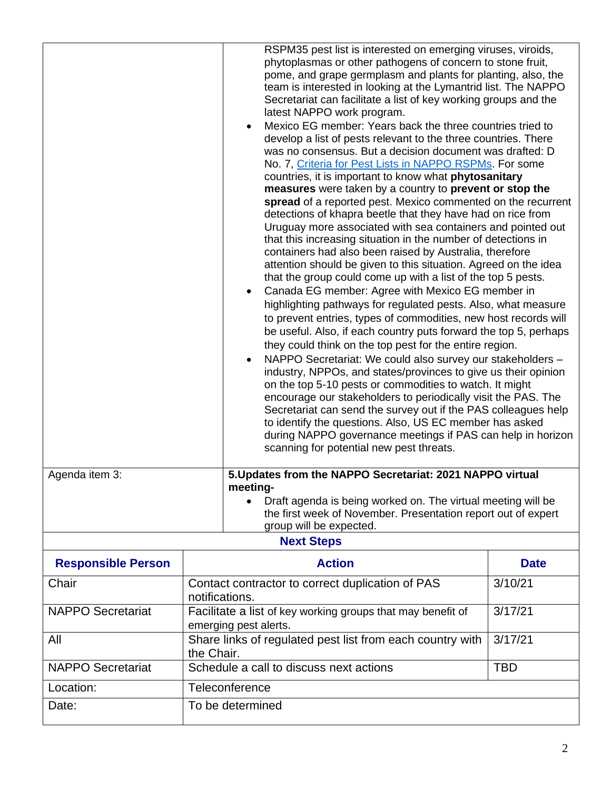|                           |                                                                                                 | RSPM35 pest list is interested on emerging viruses, viroids,<br>phytoplasmas or other pathogens of concern to stone fruit,<br>pome, and grape germplasm and plants for planting, also, the<br>team is interested in looking at the Lymantrid list. The NAPPO<br>Secretariat can facilitate a list of key working groups and the<br>latest NAPPO work program.<br>Mexico EG member: Years back the three countries tried to<br>develop a list of pests relevant to the three countries. There<br>was no consensus. But a decision document was drafted: D<br>No. 7, Criteria for Pest Lists in NAPPO RSPMs. For some<br>countries, it is important to know what phytosanitary<br>measures were taken by a country to prevent or stop the<br>spread of a reported pest. Mexico commented on the recurrent<br>detections of khapra beetle that they have had on rice from<br>Uruguay more associated with sea containers and pointed out<br>that this increasing situation in the number of detections in<br>containers had also been raised by Australia, therefore<br>attention should be given to this situation. Agreed on the idea<br>that the group could come up with a list of the top 5 pests.<br>Canada EG member: Agree with Mexico EG member in<br>highlighting pathways for regulated pests. Also, what measure<br>to prevent entries, types of commodities, new host records will<br>be useful. Also, if each country puts forward the top 5, perhaps<br>they could think on the top pest for the entire region.<br>NAPPO Secretariat: We could also survey our stakeholders -<br>industry, NPPOs, and states/provinces to give us their opinion<br>on the top 5-10 pests or commodities to watch. It might<br>encourage our stakeholders to periodically visit the PAS. The<br>Secretariat can send the survey out if the PAS colleagues help<br>to identify the questions. Also, US EC member has asked<br>during NAPPO governance meetings if PAS can help in horizon<br>scanning for potential new pest threats. |             |  |
|---------------------------|-------------------------------------------------------------------------------------------------|---------------------------------------------------------------------------------------------------------------------------------------------------------------------------------------------------------------------------------------------------------------------------------------------------------------------------------------------------------------------------------------------------------------------------------------------------------------------------------------------------------------------------------------------------------------------------------------------------------------------------------------------------------------------------------------------------------------------------------------------------------------------------------------------------------------------------------------------------------------------------------------------------------------------------------------------------------------------------------------------------------------------------------------------------------------------------------------------------------------------------------------------------------------------------------------------------------------------------------------------------------------------------------------------------------------------------------------------------------------------------------------------------------------------------------------------------------------------------------------------------------------------------------------------------------------------------------------------------------------------------------------------------------------------------------------------------------------------------------------------------------------------------------------------------------------------------------------------------------------------------------------------------------------------------------------------------------------------------------------------------------------------------------|-------------|--|
| Agenda item 3:            |                                                                                                 | 5. Updates from the NAPPO Secretariat: 2021 NAPPO virtual<br>meeting-<br>Draft agenda is being worked on. The virtual meeting will be<br>the first week of November. Presentation report out of expert<br>group will be expected.                                                                                                                                                                                                                                                                                                                                                                                                                                                                                                                                                                                                                                                                                                                                                                                                                                                                                                                                                                                                                                                                                                                                                                                                                                                                                                                                                                                                                                                                                                                                                                                                                                                                                                                                                                                               |             |  |
| <b>Next Steps</b>         |                                                                                                 |                                                                                                                                                                                                                                                                                                                                                                                                                                                                                                                                                                                                                                                                                                                                                                                                                                                                                                                                                                                                                                                                                                                                                                                                                                                                                                                                                                                                                                                                                                                                                                                                                                                                                                                                                                                                                                                                                                                                                                                                                                 |             |  |
| <b>Responsible Person</b> | <b>Action</b>                                                                                   |                                                                                                                                                                                                                                                                                                                                                                                                                                                                                                                                                                                                                                                                                                                                                                                                                                                                                                                                                                                                                                                                                                                                                                                                                                                                                                                                                                                                                                                                                                                                                                                                                                                                                                                                                                                                                                                                                                                                                                                                                                 | <b>Date</b> |  |
| Chair                     | 3/10/21<br>Contact contractor to correct duplication of PAS<br>notifications.                   |                                                                                                                                                                                                                                                                                                                                                                                                                                                                                                                                                                                                                                                                                                                                                                                                                                                                                                                                                                                                                                                                                                                                                                                                                                                                                                                                                                                                                                                                                                                                                                                                                                                                                                                                                                                                                                                                                                                                                                                                                                 |             |  |
| <b>NAPPO Secretariat</b>  | Facilitate a list of key working groups that may benefit of<br>3/17/21<br>emerging pest alerts. |                                                                                                                                                                                                                                                                                                                                                                                                                                                                                                                                                                                                                                                                                                                                                                                                                                                                                                                                                                                                                                                                                                                                                                                                                                                                                                                                                                                                                                                                                                                                                                                                                                                                                                                                                                                                                                                                                                                                                                                                                                 |             |  |
| All                       |                                                                                                 | 3/17/21<br>Share links of regulated pest list from each country with<br>the Chair.                                                                                                                                                                                                                                                                                                                                                                                                                                                                                                                                                                                                                                                                                                                                                                                                                                                                                                                                                                                                                                                                                                                                                                                                                                                                                                                                                                                                                                                                                                                                                                                                                                                                                                                                                                                                                                                                                                                                              |             |  |
| <b>NAPPO Secretariat</b>  | Schedule a call to discuss next actions<br><b>TBD</b>                                           |                                                                                                                                                                                                                                                                                                                                                                                                                                                                                                                                                                                                                                                                                                                                                                                                                                                                                                                                                                                                                                                                                                                                                                                                                                                                                                                                                                                                                                                                                                                                                                                                                                                                                                                                                                                                                                                                                                                                                                                                                                 |             |  |
| Location:                 |                                                                                                 | Teleconference                                                                                                                                                                                                                                                                                                                                                                                                                                                                                                                                                                                                                                                                                                                                                                                                                                                                                                                                                                                                                                                                                                                                                                                                                                                                                                                                                                                                                                                                                                                                                                                                                                                                                                                                                                                                                                                                                                                                                                                                                  |             |  |
| Date:                     | To be determined                                                                                |                                                                                                                                                                                                                                                                                                                                                                                                                                                                                                                                                                                                                                                                                                                                                                                                                                                                                                                                                                                                                                                                                                                                                                                                                                                                                                                                                                                                                                                                                                                                                                                                                                                                                                                                                                                                                                                                                                                                                                                                                                 |             |  |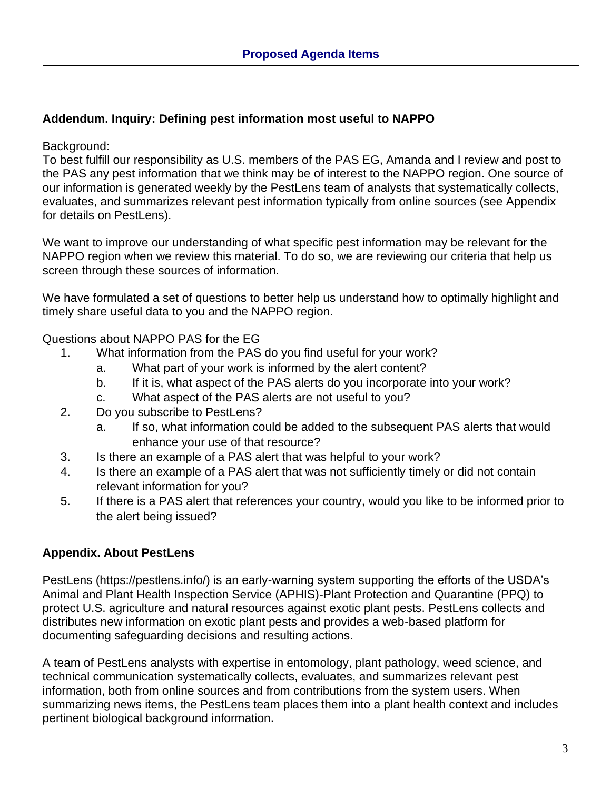### **Proposed Agenda Items**

## **Addendum. Inquiry: Defining pest information most useful to NAPPO**

### Background:

To best fulfill our responsibility as U.S. members of the PAS EG, Amanda and I review and post to the PAS any pest information that we think may be of interest to the NAPPO region. One source of our information is generated weekly by the PestLens team of analysts that systematically collects, evaluates, and summarizes relevant pest information typically from online sources (see Appendix for details on PestLens).

We want to improve our understanding of what specific pest information may be relevant for the NAPPO region when we review this material. To do so, we are reviewing our criteria that help us screen through these sources of information.

We have formulated a set of questions to better help us understand how to optimally highlight and timely share useful data to you and the NAPPO region.

### Questions about NAPPO PAS for the EG

- 1. What information from the PAS do you find useful for your work?
	- a. What part of your work is informed by the alert content?
	- b. If it is, what aspect of the PAS alerts do you incorporate into your work?
	- c. What aspect of the PAS alerts are not useful to you?
- 2. Do you subscribe to PestLens?
	- a. If so, what information could be added to the subsequent PAS alerts that would enhance your use of that resource?
- 3. Is there an example of a PAS alert that was helpful to your work?
- 4. Is there an example of a PAS alert that was not sufficiently timely or did not contain relevant information for you?
- 5. If there is a PAS alert that references your country, would you like to be informed prior to the alert being issued?

# **Appendix. About PestLens**

PestLens (https://pestlens.info/) is an early-warning system supporting the efforts of the USDA's Animal and Plant Health Inspection Service (APHIS)-Plant Protection and Quarantine (PPQ) to protect U.S. agriculture and natural resources against exotic plant pests. PestLens collects and distributes new information on exotic plant pests and provides a web-based platform for documenting safeguarding decisions and resulting actions.

A team of PestLens analysts with expertise in entomology, plant pathology, weed science, and technical communication systematically collects, evaluates, and summarizes relevant pest information, both from online sources and from contributions from the system users. When summarizing news items, the PestLens team places them into a plant health context and includes pertinent biological background information.